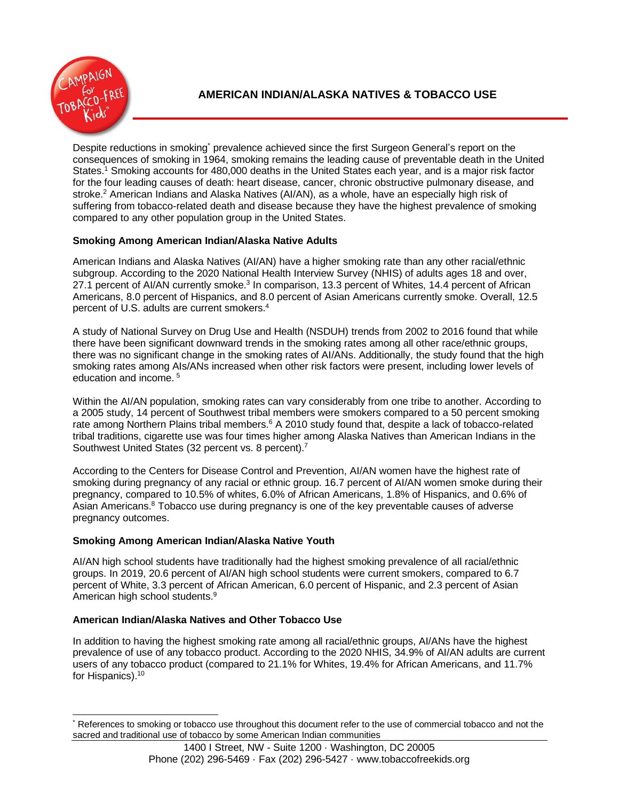

Despite reductions in smoking<sup>\*</sup> prevalence achieved since the first Surgeon General's report on the consequences of smoking in 1964, smoking remains the leading cause of preventable death in the United States.<sup>1</sup> Smoking accounts for 480,000 deaths in the United States each year, and is a major risk factor for the four leading causes of death: heart disease, cancer, chronic obstructive pulmonary disease, and stroke.<sup>2</sup> American Indians and Alaska Natives (AI/AN), as a whole, have an especially high risk of suffering from tobacco-related death and disease because they have the highest prevalence of smoking compared to any other population group in the United States.

# **Smoking Among American Indian/Alaska Native Adults**

American Indians and Alaska Natives (AI/AN) have a higher smoking rate than any other racial/ethnic subgroup. According to the 2020 National Health Interview Survey (NHIS) of adults ages 18 and over, 27.1 percent of AI/AN currently smoke.<sup>3</sup> In comparison, 13.3 percent of Whites, 14.4 percent of African Americans, 8.0 percent of Hispanics, and 8.0 percent of Asian Americans currently smoke. Overall, 12.5 percent of U.S. adults are current smokers. 4

A study of National Survey on Drug Use and Health (NSDUH) trends from 2002 to 2016 found that while there have been significant downward trends in the smoking rates among all other race/ethnic groups, there was no significant change in the smoking rates of AI/ANs. Additionally, the study found that the high smoking rates among AIs/ANs increased when other risk factors were present, including lower levels of education and income. <sup>5</sup>

Within the AI/AN population, smoking rates can vary considerably from one tribe to another. According to a 2005 study, 14 percent of Southwest tribal members were smokers compared to a 50 percent smoking rate among Northern Plains tribal members.<sup>6</sup> A 2010 study found that, despite a lack of tobacco-related tribal traditions, cigarette use was four times higher among Alaska Natives than American Indians in the Southwest United States (32 percent vs. 8 percent).<sup>7</sup>

According to the Centers for Disease Control and Prevention, AI/AN women have the highest rate of smoking during pregnancy of any racial or ethnic group. 16.7 percent of AI/AN women smoke during their pregnancy, compared to 10.5% of whites, 6.0% of African Americans, 1.8% of Hispanics, and 0.6% of Asian Americans.<sup>8</sup> Tobacco use during pregnancy is one of the key preventable causes of adverse pregnancy outcomes.

## **Smoking Among American Indian/Alaska Native Youth**

AI/AN high school students have traditionally had the highest smoking prevalence of all racial/ethnic groups. In 2019, 20.6 percent of AI/AN high school students were current smokers, compared to 6.7 percent of White, 3.3 percent of African American, 6.0 percent of Hispanic, and 2.3 percent of Asian American high school students.<sup>9</sup>

## **American Indian/Alaska Natives and Other Tobacco Use**

In addition to having the highest smoking rate among all racial/ethnic groups, AI/ANs have the highest prevalence of use of any tobacco product. According to the 2020 NHIS, 34.9% of AI/AN adults are current users of any tobacco product (compared to 21.1% for Whites, 19.4% for African Americans, and 11.7% for Hispanics).<sup>10</sup>

References to smoking or tobacco use throughout this document refer to the use of commercial tobacco and not the sacred and traditional use of tobacco by some American Indian communities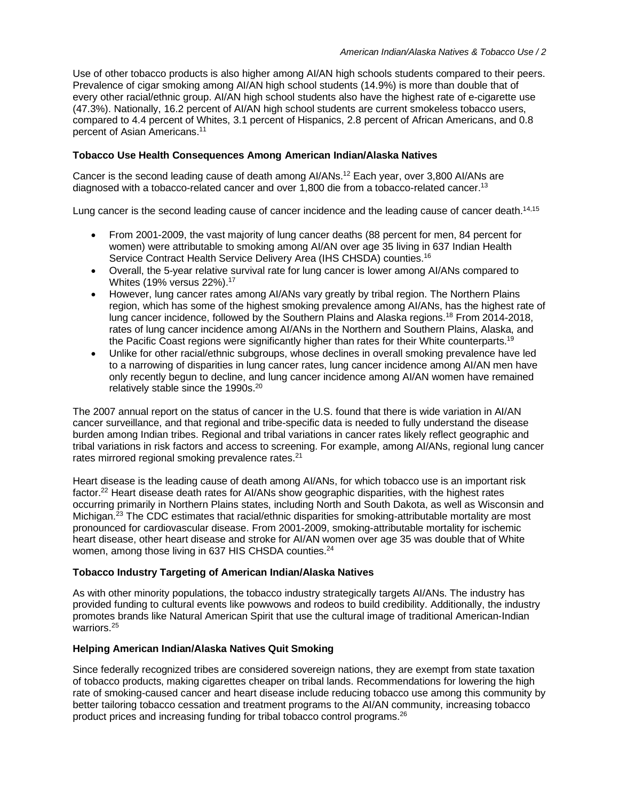Use of other tobacco products is also higher among AI/AN high schools students compared to their peers. Prevalence of cigar smoking among AI/AN high school students (14.9%) is more than double that of every other racial/ethnic group. AI/AN high school students also have the highest rate of e-cigarette use (47.3%). Nationally, 16.2 percent of AI/AN high school students are current smokeless tobacco users, compared to 4.4 percent of Whites, 3.1 percent of Hispanics, 2.8 percent of African Americans, and 0.8 percent of Asian Americans.<sup>11</sup>

#### **Tobacco Use Health Consequences Among American Indian/Alaska Natives**

Cancer is the second leading cause of death among AI/ANs.<sup>12</sup> Each year, over 3,800 AI/ANs are diagnosed with a tobacco-related cancer and over 1,800 die from a tobacco-related cancer.<sup>13</sup>

Lung cancer is the second leading cause of cancer incidence and the leading cause of cancer death.<sup>14,15</sup>

- From 2001-2009, the vast majority of lung cancer deaths (88 percent for men, 84 percent for women) were attributable to smoking among AI/AN over age 35 living in 637 Indian Health Service Contract Health Service Delivery Area (IHS CHSDA) counties.<sup>16</sup>
- Overall, the 5-year relative survival rate for lung cancer is lower among AI/ANs compared to Whites (19% versus 22%).<sup>17</sup>
- However, lung cancer rates among AI/ANs vary greatly by tribal region. The Northern Plains region, which has some of the highest smoking prevalence among AI/ANs, has the highest rate of lung cancer incidence, followed by the Southern Plains and Alaska regions.<sup>18</sup> From 2014-2018, rates of lung cancer incidence among AI/ANs in the Northern and Southern Plains, Alaska, and the Pacific Coast regions were significantly higher than rates for their White counterparts.<sup>19</sup>
- Unlike for other racial/ethnic subgroups, whose declines in overall smoking prevalence have led to a narrowing of disparities in lung cancer rates, lung cancer incidence among AI/AN men have only recently begun to decline, and lung cancer incidence among AI/AN women have remained relatively stable since the 1990s.<sup>20</sup>

The 2007 annual report on the status of cancer in the U.S. found that there is wide variation in AI/AN cancer surveillance, and that regional and tribe-specific data is needed to fully understand the disease burden among Indian tribes. Regional and tribal variations in cancer rates likely reflect geographic and tribal variations in risk factors and access to screening. For example, among AI/ANs, regional lung cancer rates mirrored regional smoking prevalence rates.<sup>21</sup>

Heart disease is the leading cause of death among AI/ANs, for which tobacco use is an important risk factor.<sup>22</sup> Heart disease death rates for AI/ANs show geographic disparities, with the highest rates occurring primarily in Northern Plains states, including North and South Dakota, as well as Wisconsin and Michigan.<sup>23</sup> The CDC estimates that racial/ethnic disparities for smoking-attributable mortality are most pronounced for cardiovascular disease. From 2001-2009, smoking-attributable mortality for ischemic heart disease, other heart disease and stroke for AI/AN women over age 35 was double that of White women, among those living in 637 HIS CHSDA counties.<sup>24</sup>

### **Tobacco Industry Targeting of American Indian/Alaska Natives**

As with other minority populations, the tobacco industry strategically targets AI/ANs. The industry has provided funding to cultural events like powwows and rodeos to build credibility. Additionally, the industry promotes brands like Natural American Spirit that use the cultural image of traditional American-Indian warriors.<sup>25</sup>

### **Helping American Indian/Alaska Natives Quit Smoking**

Since federally recognized tribes are considered sovereign nations, they are exempt from state taxation of tobacco products, making cigarettes cheaper on tribal lands. Recommendations for lowering the high rate of smoking-caused cancer and heart disease include reducing tobacco use among this community by better tailoring tobacco cessation and treatment programs to the AI/AN community, increasing tobacco product prices and increasing funding for tribal tobacco control programs.26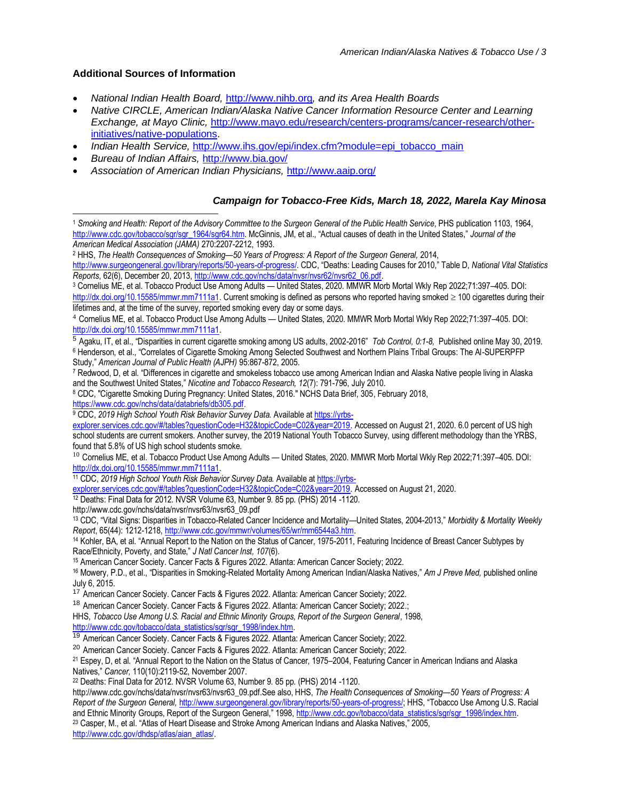### **Additional Sources of Information**

- *National Indian Health Board,* [http://www.nihb.org](http://www.nihb.org/)*, and its Area Health Boards*
- *Native CIRCLE, American Indian/Alaska Native Cancer Information Resource Center and Learning Exchange, at Mayo Clinic,* [http://www.mayo.edu/research/centers-programs/cancer-research/other](http://www.mayo.edu/research/centers-programs/cancer-research/other-initiatives/native-populations)[initiatives/native-populations.](http://www.mayo.edu/research/centers-programs/cancer-research/other-initiatives/native-populations)
- *Indian Health Service, [http://www.ihs.gov/epi/index.cfm?module=epi\\_tobacco\\_main](http://www.ihs.gov/epi/index.cfm?module=epi_tobacco_main)*
- *Bureau of Indian Affairs,* <http://www.bia.gov/>
- *Association of American Indian Physicians,* <http://www.aaip.org/>

### *Campaign for Tobacco-Free Kids, March 18, 2022, Marela Kay Minosa*

<sup>1</sup> *Smoking and Health: Report of the Advisory Committee to the Surgeon General of the Public Health Service*, PHS publication 1103, 1964, [http://www.cdc.gov/tobacco/sgr/sgr\\_1964/sgr64.htm](http://www.cdc.gov/tobacco/sgr/sgr_1964/sgr64.htm). McGinnis, JM, et al., "Actual causes of death in the United States," *Journal of the American Medical Association (JAMA)* 270:2207-2212, 1993.

<sup>2</sup> HHS, *The Health Consequences of Smoking—50 Years of Progress: A Report of the Surgeon General,* 2014,

<http://www.surgeongeneral.gov/library/reports/50-years-of-progress/>. CDC, "Deaths: Leading Causes for 2010," Table D, *National Vital Statistics Reports*, 62(6), December 20, 2013[, http://www.cdc.gov/nchs/data/nvsr/nvsr62/nvsr62\\_06.pdf.](http://www.cdc.gov/nchs/data/nvsr/nvsr62/nvsr62_06.pdf)

<sup>3</sup> Cornelius ME, et al. Tobacco Product Use Among Adults — United States, 2020. MMWR Morb Mortal Wkly Rep 2022;71:397–405. DOI: [http://dx.doi.org/10.15585/mmwr.mm7111a1.](http://dx.doi.org/10.15585/mmwr.mm7111a1) Current smoking is defined as persons who reported having smoked  $\geq$  100 cigarettes during their lifetimes and, at the time of the survey, reported smoking every day or some days.

<sup>5</sup> Agaku, IT, et al., "Disparities in current cigarette smoking among US adults, 2002-2016" *Tob Control, 0:1-8,* Published online May 30, 2019. <sup>6</sup> Henderson, et al., "Correlates of Cigarette Smoking Among Selected Southwest and Northern Plains Tribal Groups: The Al-SUPERPFP

Study," *American Journal of Public Health (AJPH)* 95:867-872, 2005.

<sup>7</sup> Redwood, D, et al. "Differences in cigarette and smokeless tobacco use among American Indian and Alaska Native people living in Alaska and the Southwest United States," *Nicotine and Tobacco Research, 12*(7): 791-796, July 2010.

<sup>8</sup> CDC, "Cigarette Smoking During Pregnancy: United States, 2016." NCHS Data Brief, 305, February 2018,

[https://www.cdc.gov/nchs/data/databriefs/db305.pdf.](https://www.cdc.gov/nchs/data/databriefs/db305.pdf)

9 CDC, 2019 *High School Youth Risk Behavior Survey Data.* Available at [https://yrbs-](https://yrbs-explorer.services.cdc.gov/#/tables?questionCode=H32&topicCode=C02&year=2019)

[explorer.services.cdc.gov/#/tables?questionCode=H32&topicCode=C02&year=2019.](https://yrbs-explorer.services.cdc.gov/#/tables?questionCode=H32&topicCode=C02&year=2019) Accessed on August 21, 2020. 6.0 percent of US high school students are current smokers. Another survey, the 2019 National Youth Tobacco Survey, using different methodology than the YRBS, found that 5.8% of US high school students smoke.

<sup>11</sup> CDC, *2019 High School Youth Risk Behavior Survey Data.* Available at [https://yrbs-](https://yrbs-explorer.services.cdc.gov/#/tables?questionCode=H32&topicCode=C02&year=2019)

[explorer.services.cdc.gov/#/tables?questionCode=H32&topicCode=C02&year=2019.](https://yrbs-explorer.services.cdc.gov/#/tables?questionCode=H32&topicCode=C02&year=2019) Accessed on August 21, 2020.

<sup>12</sup> Deaths: Final Data for 2012. NVSR Volume 63, Number 9. 85 pp. (PHS) 2014 -1120.

http://www.cdc.gov/nchs/data/nvsr/nvsr63/nvsr63\_09.pdf

<sup>13</sup> CDC, "Vital Signs: Disparities in Tobacco-Related Cancer Incidence and Mortality—United States, 2004-2013," *Morbidity & Mortality Weekly Report*, 65(44): 1212-1218, [http://www.cdc.gov/mmwr/volumes/65/wr/mm6544a3.htm.](http://www.cdc.gov/mmwr/volumes/65/wr/mm6544a3.htm)

<sup>14</sup> Kohler, BA, et al. "Annual Report to the Nation on the Status of Cancer, 1975-2011, Featuring Incidence of Breast Cancer Subtypes by Race/Ethnicity, Poverty, and State," *J Natl Cancer Inst, 107*(6).

<sup>15</sup> American Cancer Society. Cancer Facts & Figures 2022. Atlanta: American Cancer Society; 2022.

18 American Cancer Society. Cancer Facts & Figures 2022. Atlanta: American Cancer Society; 2022.;

HHS, *Tobacco Use Among U.S. Racial and Ethnic Minority Groups, Report of the Surgeon General*, 1998, [http://www.cdc.gov/tobacco/data\\_statistics/sgr/sgr\\_1998/index.htm.](http://www.cdc.gov/tobacco/data_statistics/sgr/sgr_1998/index.htm)

<sup>19</sup> American Cancer Society. Cancer Facts & Figures 2022. Atlanta: American Cancer Society; 2022.

<sup>20</sup> American Cancer Society. Cancer Facts & Figures 2022. Atlanta: American Cancer Society; 2022.

<sup>22</sup> Deaths: Final Data for 2012. NVSR Volume 63, Number 9. 85 pp. (PHS) 2014 -1120.

http://www.cdc.gov/nchs/data/nvsr/nvsr63/nvsr63\_09.pdf.See also, HHS, *The Health Consequences of Smoking—50 Years of Progress: A Report of the Surgeon General,* <http://www.surgeongeneral.gov/library/reports/50-years-of-progress/>; HHS, "Tobacco Use Among U.S. Racial and Ethnic Minority Groups, Report of the Surgeon General," 1998, [http://www.cdc.gov/tobacco/data\\_statistics/sgr/sgr\\_1998/index.htm.](http://www.cdc.gov/tobacco/data_statistics/sgr/sgr_1998/index.htm) <sup>23</sup> Casper, M., et al. "Atlas of Heart Disease and Stroke Among American Indians and Alaska Natives," 2005,

[http://www.cdc.gov/dhdsp/atlas/aian\\_atlas/.](http://www.cdc.gov/dhdsp/atlas/aian_atlas/)

<sup>4</sup> Cornelius ME, et al. Tobacco Product Use Among Adults — United States, 2020. MMWR Morb Mortal Wkly Rep 2022;71:397–405. DOI: [http://dx.doi.org/10.15585/mmwr.mm7111a1.](http://dx.doi.org/10.15585/mmwr.mm7111a1)

<sup>&</sup>lt;sup>10</sup> Cornelius ME, et al. Tobacco Product Use Among Adults — United States, 2020. MMWR Morb Mortal Wkly Rep 2022;71:397-405. DOI: [http://dx.doi.org/10.15585/mmwr.mm7111a1.](http://dx.doi.org/10.15585/mmwr.mm7111a1)

<sup>16</sup> Mowery, P.D., et al., "Disparities in Smoking-Related Mortality Among American Indian/Alaska Natives," *Am J Preve Med,* published online July 6, 2015.

<sup>&</sup>lt;sup>17</sup> American Cancer Society. Cancer Facts & Figures 2022. Atlanta: American Cancer Society; 2022.

<sup>21</sup> Espey, D, et al. "Annual Report to the Nation on the Status of Cancer, 1975–2004, Featuring Cancer in American Indians and Alaska Natives," *Cancer,* 110(10):2119-52, November 2007.